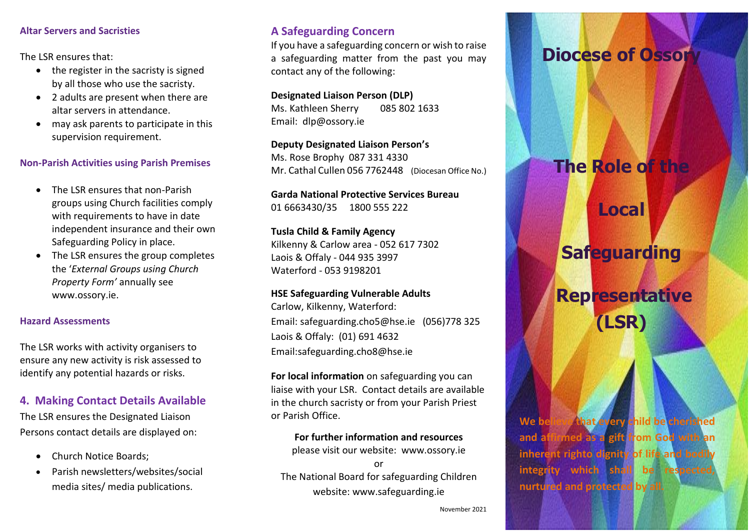#### **Altar Servers and Sacristies**

The LSR ensures that:

- the register in the sacristy is signed by all those who use the sacristy.
- 2 adults are present when there are altar servers in attendance.
- may ask parents to participate in this supervision requirement.

#### **Non-Parish Activities using Parish Premises**

- The LSR ensures that non-Parish groups using Church facilities comply with requirements to have in date independent insurance and their own Safeguarding Policy in place.
- The LSR ensures the group completes the '*External Groups using Church Property Form'* annually see [www.ossory.ie.](http://www.ossory.ie/)

### **Hazard Assessments**

The LSR works with activity organisers to ensure any new activity is risk assessed to identify any potential hazards or risks.

## **4. Making Contact Details Available**

The LSR ensures the Designated Liaison Persons contact details are displayed on:

- Church Notice Boards:
- Parish newsletters/websites/social media sites/ media publications.

## **A Safeguarding Concern**

If you have a safeguarding concern or wish to raise a safeguarding matter from the past you may contact any of the following:

**Designated Liaison Person (DLP)** Ms. Kathleen Sherry 085 802 1633 Email: dlp@ossory.ie

**Deputy Designated Liaison Person's** Ms. Rose Brophy 087 331 4330 Mr. Cathal Cullen 056 7762448 (Diocesan Office No.)

**Garda National Protective Services Bureau**  01 6663430/35 1800 555 222

**Tusla Child & Family Agency**  Kilkenny & Carlow area - 052 617 7302 Laois & Offaly - 044 935 3997 Waterford - 053 9198201

#### **HSE Safeguarding Vulnerable Adults**

Carlow, Kilkenny, Waterford: Email: [safeguarding.cho5@hse.ie](mailto:safeguarding.cho5@hse.ie) (056)778 325 Laois & Offaly: (01) 691 4632 Email[:safeguarding.cho8@hse.ie](mailto:safeguarding.cho8@hse.ie)

**For local information** on safeguarding you can liaise with your LSR. Contact details are available in the church sacristy or from your Parish Priest or Parish Office.

**For further information and resources**  please visit our website: [www.ossory.ie](http://www.ossory.ie/) or The National Board for safeguarding Children website: [www.safeguarding.ie](http://www.safeguarding.ie/)

# **Diocese of Ossor**

# **The Role of the**

**Safeguarding**

**Local** 

**Representative (LSR)**

**We believe that every child be cherished and affirmed as a gift from God with an inherent righto dignity of life and bodily integrity which shall be respected nurtured and protected by all.**